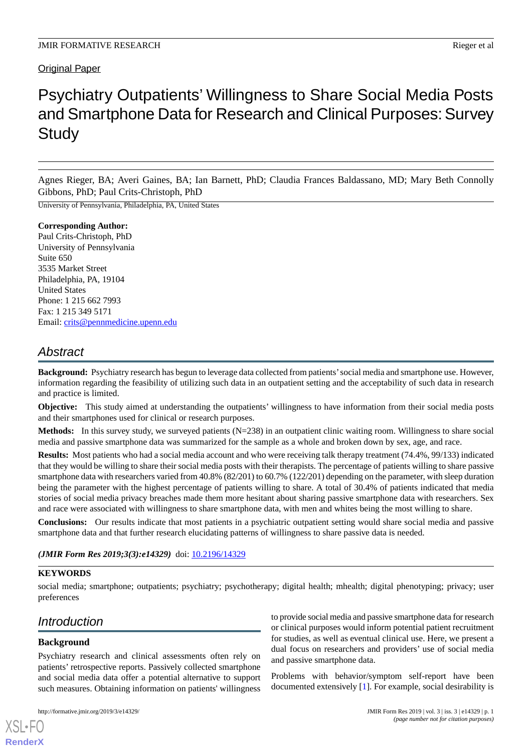# Original Paper

# Psychiatry Outpatients' Willingness to Share Social Media Posts and Smartphone Data for Research and Clinical Purposes: Survey **Study**

Agnes Rieger, BA; Averi Gaines, BA; Ian Barnett, PhD; Claudia Frances Baldassano, MD; Mary Beth Connolly Gibbons, PhD; Paul Crits-Christoph, PhD

University of Pennsylvania, Philadelphia, PA, United States

#### **Corresponding Author:** Paul Crits-Christoph, PhD University of Pennsylvania Suite 650 3535 Market Street Philadelphia, PA, 19104 United States Phone: 1 215 662 7993 Fax: 1 215 349 5171

Email: [crits@pennmedicine.upenn.edu](mailto:crits@pennmedicine.upenn.edu)

# *Abstract*

**Background:** Psychiatry research has begun to leverage data collected from patients'social media and smartphone use. However, information regarding the feasibility of utilizing such data in an outpatient setting and the acceptability of such data in research and practice is limited.

**Objective:** This study aimed at understanding the outpatients' willingness to have information from their social media posts and their smartphones used for clinical or research purposes.

**Methods:** In this survey study, we surveyed patients (N=238) in an outpatient clinic waiting room. Willingness to share social media and passive smartphone data was summarized for the sample as a whole and broken down by sex, age, and race.

**Results:** Most patients who had a social media account and who were receiving talk therapy treatment (74.4%, 99/133) indicated that they would be willing to share their social media posts with their therapists. The percentage of patients willing to share passive smartphone data with researchers varied from 40.8% (82/201) to 60.7% (122/201) depending on the parameter, with sleep duration being the parameter with the highest percentage of patients willing to share. A total of 30.4% of patients indicated that media stories of social media privacy breaches made them more hesitant about sharing passive smartphone data with researchers. Sex and race were associated with willingness to share smartphone data, with men and whites being the most willing to share.

**Conclusions:** Our results indicate that most patients in a psychiatric outpatient setting would share social media and passive smartphone data and that further research elucidating patterns of willingness to share passive data is needed.

*(JMIR Form Res 2019;3(3):e14329)* doi: [10.2196/14329](http://dx.doi.org/10.2196/14329)

# **KEYWORDS**

social media; smartphone; outpatients; psychiatry; psychotherapy; digital health; mhealth; digital phenotyping; privacy; user preferences

# *Introduction*

#### **Background**

[XSL](http://www.w3.org/Style/XSL)•FO **[RenderX](http://www.renderx.com/)**

Psychiatry research and clinical assessments often rely on patients' retrospective reports. Passively collected smartphone and social media data offer a potential alternative to support such measures. Obtaining information on patients' willingness

to provide social media and passive smartphone data for research or clinical purposes would inform potential patient recruitment for studies, as well as eventual clinical use. Here, we present a dual focus on researchers and providers' use of social media and passive smartphone data.

Problems with behavior/symptom self-report have been documented extensively [[1](#page-7-0)]. For example, social desirability is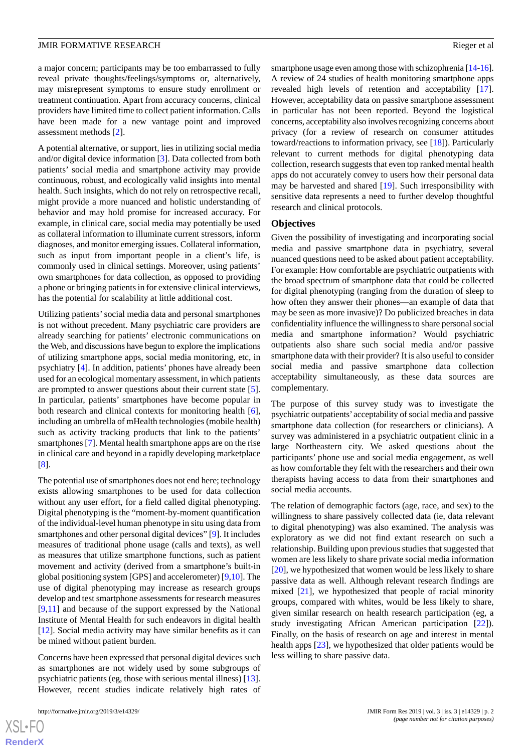#### **JMIR FORMATIVE RESEARCH RIGHTS AND ALL SECOND SECOND RIGGER CONTROLLER SECOND RIGGER CONTROLLER SECOND RIGGER**

a major concern; participants may be too embarrassed to fully reveal private thoughts/feelings/symptoms or, alternatively, may misrepresent symptoms to ensure study enrollment or treatment continuation. Apart from accuracy concerns, clinical providers have limited time to collect patient information. Calls have been made for a new vantage point and improved assessment methods [\[2](#page-7-1)].

A potential alternative, or support, lies in utilizing social media and/or digital device information [\[3](#page-7-2)]. Data collected from both patients' social media and smartphone activity may provide continuous, robust, and ecologically valid insights into mental health. Such insights, which do not rely on retrospective recall, might provide a more nuanced and holistic understanding of behavior and may hold promise for increased accuracy. For example, in clinical care, social media may potentially be used as collateral information to illuminate current stressors, inform diagnoses, and monitor emerging issues. Collateral information, such as input from important people in a client's life, is commonly used in clinical settings. Moreover, using patients' own smartphones for data collection, as opposed to providing a phone or bringing patients in for extensive clinical interviews, has the potential for scalability at little additional cost.

Utilizing patients'social media data and personal smartphones is not without precedent. Many psychiatric care providers are already searching for patients' electronic communications on the Web, and discussions have begun to explore the implications of utilizing smartphone apps, social media monitoring, etc, in psychiatry [\[4](#page-7-3)]. In addition, patients' phones have already been used for an ecological momentary assessment, in which patients are prompted to answer questions about their current state [[5\]](#page-7-4). In particular, patients' smartphones have become popular in both research and clinical contexts for monitoring health [[6\]](#page-7-5), including an umbrella of mHealth technologies (mobile health) such as activity tracking products that link to the patients' smartphones [\[7](#page-7-6)]. Mental health smartphone apps are on the rise in clinical care and beyond in a rapidly developing marketplace [[8\]](#page-7-7).

The potential use of smartphones does not end here; technology exists allowing smartphones to be used for data collection without any user effort, for a field called digital phenotyping. Digital phenotyping is the "moment-by-moment quantification of the individual-level human phenotype in situ using data from smartphones and other personal digital devices" [\[9](#page-7-8)]. It includes measures of traditional phone usage (calls and texts), as well as measures that utilize smartphone functions, such as patient movement and activity (derived from a smartphone's built-in global positioning system [GPS] and accelerometer) [\[9](#page-7-8),[10\]](#page-7-9). The use of digital phenotyping may increase as research groups develop and test smartphone assessments for research measures [[9](#page-7-8)[,11](#page-7-10)] and because of the support expressed by the National Institute of Mental Health for such endeavors in digital health [[12\]](#page-7-11). Social media activity may have similar benefits as it can be mined without patient burden.

Concerns have been expressed that personal digital devices such as smartphones are not widely used by some subgroups of psychiatric patients (eg, those with serious mental illness) [[13\]](#page-7-12). However, recent studies indicate relatively high rates of

smartphone usage even among those with schizophrenia [\[14](#page-8-0)[-16](#page-8-1)]. A review of 24 studies of health monitoring smartphone apps revealed high levels of retention and acceptability [[17\]](#page-8-2). However, acceptability data on passive smartphone assessment in particular has not been reported. Beyond the logistical concerns, acceptability also involves recognizing concerns about privacy (for a review of research on consumer attitudes toward/reactions to information privacy, see [[18\]](#page-8-3)). Particularly relevant to current methods for digital phenotyping data collection, research suggests that even top ranked mental health apps do not accurately convey to users how their personal data may be harvested and shared [[19\]](#page-8-4). Such irresponsibility with sensitive data represents a need to further develop thoughtful research and clinical protocols.

#### **Objectives**

Given the possibility of investigating and incorporating social media and passive smartphone data in psychiatry, several nuanced questions need to be asked about patient acceptability. For example: How comfortable are psychiatric outpatients with the broad spectrum of smartphone data that could be collected for digital phenotyping (ranging from the duration of sleep to how often they answer their phones—an example of data that may be seen as more invasive)? Do publicized breaches in data confidentiality influence the willingness to share personal social media and smartphone information? Would psychiatric outpatients also share such social media and/or passive smartphone data with their provider? It is also useful to consider social media and passive smartphone data collection acceptability simultaneously, as these data sources are complementary.

The purpose of this survey study was to investigate the psychiatric outpatients'acceptability of social media and passive smartphone data collection (for researchers or clinicians). A survey was administered in a psychiatric outpatient clinic in a large Northeastern city. We asked questions about the participants' phone use and social media engagement, as well as how comfortable they felt with the researchers and their own therapists having access to data from their smartphones and social media accounts.

The relation of demographic factors (age, race, and sex) to the willingness to share passively collected data (ie, data relevant to digital phenotyping) was also examined. The analysis was exploratory as we did not find extant research on such a relationship. Building upon previous studies that suggested that women are less likely to share private social media information [[20\]](#page-8-5), we hypothesized that women would be less likely to share passive data as well. Although relevant research findings are mixed [\[21](#page-8-6)], we hypothesized that people of racial minority groups, compared with whites, would be less likely to share, given similar research on health research participation (eg, a study investigating African American participation [[22\]](#page-8-7)). Finally, on the basis of research on age and interest in mental health apps [[23\]](#page-8-8), we hypothesized that older patients would be less willing to share passive data.

```
XS-FO
RenderX
```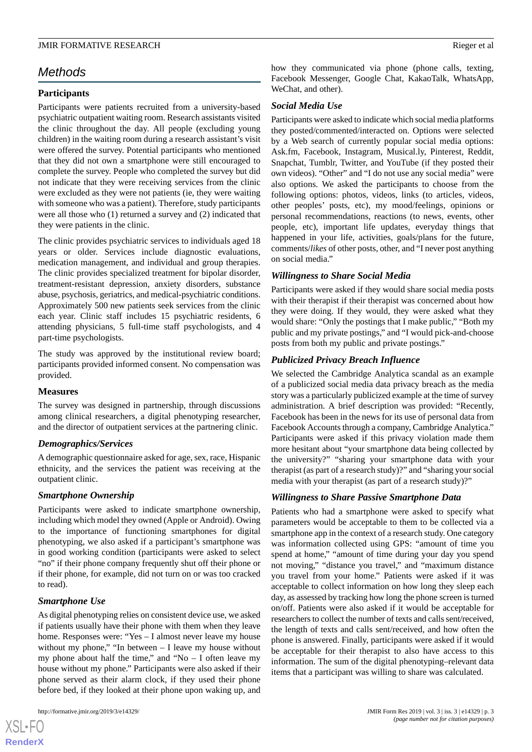#### **JMIR FORMATIVE RESEARCH RIGHTS AND ALL SECOND SECOND RIGGER CONTROLLER SECOND RIGGER CONTROLLER SECOND RIGGER**

# *Methods*

#### **Participants**

Participants were patients recruited from a university-based psychiatric outpatient waiting room. Research assistants visited the clinic throughout the day. All people (excluding young children) in the waiting room during a research assistant's visit were offered the survey. Potential participants who mentioned that they did not own a smartphone were still encouraged to complete the survey. People who completed the survey but did not indicate that they were receiving services from the clinic were excluded as they were not patients (ie, they were waiting with someone who was a patient). Therefore, study participants were all those who (1) returned a survey and (2) indicated that they were patients in the clinic.

The clinic provides psychiatric services to individuals aged 18 years or older. Services include diagnostic evaluations, medication management, and individual and group therapies. The clinic provides specialized treatment for bipolar disorder, treatment-resistant depression, anxiety disorders, substance abuse, psychosis, geriatrics, and medical-psychiatric conditions. Approximately 500 new patients seek services from the clinic each year. Clinic staff includes 15 psychiatric residents, 6 attending physicians, 5 full-time staff psychologists, and 4 part-time psychologists.

The study was approved by the institutional review board; participants provided informed consent. No compensation was provided.

#### **Measures**

The survey was designed in partnership, through discussions among clinical researchers, a digital phenotyping researcher, and the director of outpatient services at the partnering clinic.

#### *Demographics/Services*

A demographic questionnaire asked for age, sex, race, Hispanic ethnicity, and the services the patient was receiving at the outpatient clinic.

#### *Smartphone Ownership*

Participants were asked to indicate smartphone ownership, including which model they owned (Apple or Android). Owing to the importance of functioning smartphones for digital phenotyping, we also asked if a participant's smartphone was in good working condition (participants were asked to select "no" if their phone company frequently shut off their phone or if their phone, for example, did not turn on or was too cracked to read).

# *Smartphone Use*

As digital phenotyping relies on consistent device use, we asked if patients usually have their phone with them when they leave home. Responses were: "Yes – I almost never leave my house without my phone," "In between – I leave my house without my phone about half the time," and "No  $-$  I often leave my house without my phone." Participants were also asked if their phone served as their alarm clock, if they used their phone before bed, if they looked at their phone upon waking up, and

 $XS$  • FO **[RenderX](http://www.renderx.com/)** how they communicated via phone (phone calls, texting, Facebook Messenger, Google Chat, KakaoTalk, WhatsApp, WeChat, and other).

#### *Social Media Use*

Participants were asked to indicate which social media platforms they posted/commented/interacted on. Options were selected by a Web search of currently popular social media options: Ask.fm, Facebook, Instagram, Musical.ly, Pinterest, Reddit, Snapchat, Tumblr, Twitter, and YouTube (if they posted their own videos). "Other" and "I do not use any social media" were also options. We asked the participants to choose from the following options: photos, videos, links (to articles, videos, other peoples' posts, etc), my mood/feelings, opinions or personal recommendations, reactions (to news, events, other people, etc), important life updates, everyday things that happened in your life, activities, goals/plans for the future, comments/*likes* of other posts, other, and "I never post anything on social media."

#### *Willingness to Share Social Media*

Participants were asked if they would share social media posts with their therapist if their therapist was concerned about how they were doing. If they would, they were asked what they would share: "Only the postings that I make public," "Both my public and my private postings," and "I would pick-and-choose posts from both my public and private postings."

#### *Publicized Privacy Breach Influence*

We selected the Cambridge Analytica scandal as an example of a publicized social media data privacy breach as the media story was a particularly publicized example at the time of survey administration. A brief description was provided: "Recently, Facebook has been in the news for its use of personal data from Facebook Accounts through a company, Cambridge Analytica." Participants were asked if this privacy violation made them more hesitant about "your smartphone data being collected by the university?" "sharing your smartphone data with your therapist (as part of a research study)?" and "sharing your social media with your therapist (as part of a research study)?"

#### *Willingness to Share Passive Smartphone Data*

Patients who had a smartphone were asked to specify what parameters would be acceptable to them to be collected via a smartphone app in the context of a research study. One category was information collected using GPS: "amount of time you spend at home," "amount of time during your day you spend not moving," "distance you travel," and "maximum distance you travel from your home." Patients were asked if it was acceptable to collect information on how long they sleep each day, as assessed by tracking how long the phone screen is turned on/off. Patients were also asked if it would be acceptable for researchers to collect the number of texts and calls sent/received, the length of texts and calls sent/received, and how often the phone is answered. Finally, participants were asked if it would be acceptable for their therapist to also have access to this information. The sum of the digital phenotyping–relevant data items that a participant was willing to share was calculated.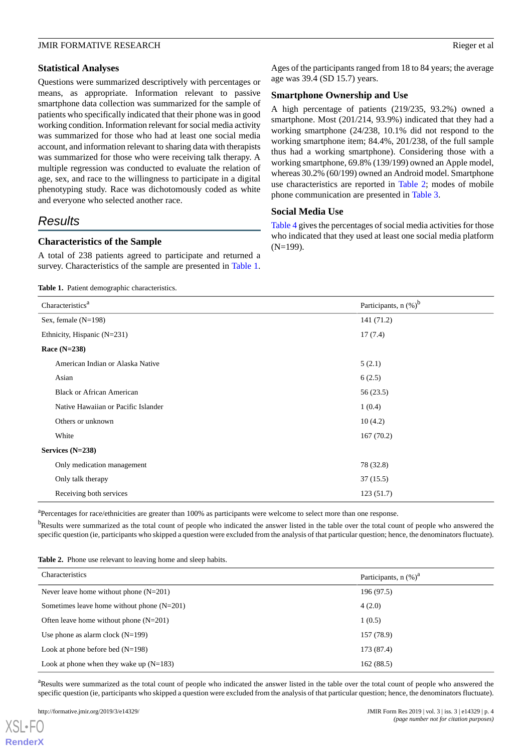#### **Statistical Analyses**

Questions were summarized descriptively with percentages or means, as appropriate. Information relevant to passive smartphone data collection was summarized for the sample of patients who specifically indicated that their phone was in good working condition. Information relevant for social media activity was summarized for those who had at least one social media account, and information relevant to sharing data with therapists was summarized for those who were receiving talk therapy. A multiple regression was conducted to evaluate the relation of age, sex, and race to the willingness to participate in a digital phenotyping study. Race was dichotomously coded as white and everyone who selected another race.

# *Results*

#### **Characteristics of the Sample**

<span id="page-3-0"></span>A total of 238 patients agreed to participate and returned a survey. Characteristics of the sample are presented in [Table 1](#page-3-0).

**Table 1.** Patient demographic characteristics.

Ages of the participants ranged from 18 to 84 years; the average age was 39.4 (SD 15.7) years.

#### **Smartphone Ownership and Use**

A high percentage of patients (219/235, 93.2%) owned a smartphone. Most (201/214, 93.9%) indicated that they had a working smartphone (24/238, 10.1% did not respond to the working smartphone item; 84.4%, 201/238, of the full sample thus had a working smartphone). Considering those with a working smartphone, 69.8% (139/199) owned an Apple model, whereas 30.2% (60/199) owned an Android model. Smartphone use characteristics are reported in [Table 2;](#page-3-1) modes of mobile phone communication are presented in [Table 3.](#page-4-0)

#### **Social Media Use**

[Table 4](#page-4-1) gives the percentages of social media activities for those who indicated that they used at least one social media platform (N=199).

| Characteristics <sup>a</sup>        | Participants, $n$ (%) <sup>b</sup> |
|-------------------------------------|------------------------------------|
| Sex, female $(N=198)$               | 141(71.2)                          |
| Ethnicity, Hispanic (N=231)         | 17(7.4)                            |
| Race $(N=238)$                      |                                    |
| American Indian or Alaska Native    | 5(2.1)                             |
| Asian                               | 6(2.5)                             |
| <b>Black or African American</b>    | 56 (23.5)                          |
| Native Hawaiian or Pacific Islander | 1(0.4)                             |
| Others or unknown                   | 10(4.2)                            |
| White                               | 167(70.2)                          |
| Services $(N=238)$                  |                                    |
| Only medication management          | 78 (32.8)                          |
| Only talk therapy                   | 37(15.5)                           |
| Receiving both services             | 123(51.7)                          |

<span id="page-3-1"></span><sup>a</sup>Percentages for race/ethnicities are greater than 100% as participants were welcome to select more than one response.

<sup>b</sup>Results were summarized as the total count of people who indicated the answer listed in the table over the total count of people who answered the specific question (ie, participants who skipped a question were excluded from the analysis of that particular question; hence, the denominators fluctuate).

**Table 2.** Phone use relevant to leaving home and sleep habits.

| Characteristics                              | Participants, $n$ (%) <sup>a</sup> |
|----------------------------------------------|------------------------------------|
| Never leave home without phone $(N=201)$     | 196 (97.5)                         |
| Sometimes leave home without phone $(N=201)$ | 4(2.0)                             |
| Often leave home without phone $(N=201)$     | 1(0.5)                             |
| Use phone as alarm clock $(N=199)$           | 157 (78.9)                         |
| Look at phone before bed $(N=198)$           | 173 (87.4)                         |
| Look at phone when they wake up $(N=183)$    | 162(88.5)                          |

<sup>a</sup>Results were summarized as the total count of people who indicated the answer listed in the table over the total count of people who answered the specific question (ie, participants who skipped a question were excluded from the analysis of that particular question; hence, the denominators fluctuate).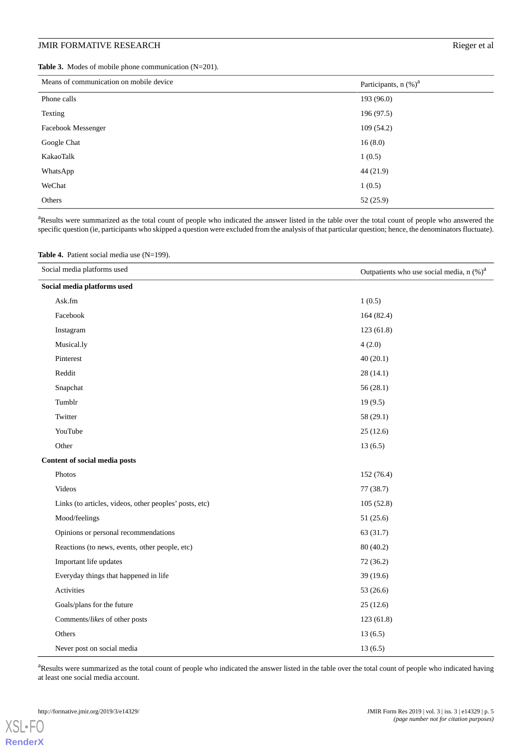# **JMIR FORMATIVE RESEARCH Rieger et al.**

<span id="page-4-0"></span>**Table 3.** Modes of mobile phone communication (N=201).

| Means of communication on mobile device | Participants, $n$ (%) <sup>a</sup> |
|-----------------------------------------|------------------------------------|
| Phone calls                             | 193 (96.0)                         |
| Texting                                 | 196 (97.5)                         |
| Facebook Messenger                      | 109(54.2)                          |
| Google Chat                             | 16(8.0)                            |
| KakaoTalk                               | 1(0.5)                             |
| WhatsApp                                | 44 (21.9)                          |
| WeChat                                  | 1(0.5)                             |
| Others                                  | 52(25.9)                           |

<span id="page-4-1"></span><sup>a</sup>Results were summarized as the total count of people who indicated the answer listed in the table over the total count of people who answered the specific question (ie, participants who skipped a question were excluded from the analysis of that particular question; hence, the denominators fluctuate).

|  |  |  |  |  | <b>Table 4.</b> Patient social media use $(N=199)$ . |
|--|--|--|--|--|------------------------------------------------------|
|--|--|--|--|--|------------------------------------------------------|

| Social media platforms used                            | Outpatients who use social media, $n$ (%) <sup>a</sup> |
|--------------------------------------------------------|--------------------------------------------------------|
| Social media platforms used                            |                                                        |
| Ask.fm                                                 | 1(0.5)                                                 |
| Facebook                                               | 164 (82.4)                                             |
| Instagram                                              | 123(61.8)                                              |
| Musical.ly                                             | 4(2.0)                                                 |
| Pinterest                                              | 40(20.1)                                               |
| Reddit                                                 | 28(14.1)                                               |
| Snapchat                                               | 56(28.1)                                               |
| Tumblr                                                 | 19(9.5)                                                |
| Twitter                                                | 58 (29.1)                                              |
| YouTube                                                | 25(12.6)                                               |
| Other                                                  | 13(6.5)                                                |
| Content of social media posts                          |                                                        |
| Photos                                                 | 152 (76.4)                                             |
| Videos                                                 | 77(38.7)                                               |
| Links (to articles, videos, other peoples' posts, etc) | 105(52.8)                                              |
| Mood/feelings                                          | 51 (25.6)                                              |
| Opinions or personal recommendations                   | 63 (31.7)                                              |
| Reactions (to news, events, other people, etc)         | 80(40.2)                                               |
| Important life updates                                 | 72(36.2)                                               |
| Everyday things that happened in life                  | 39 (19.6)                                              |
| Activities                                             | 53 (26.6)                                              |
| Goals/plans for the future                             | 25(12.6)                                               |
| Comments/likes of other posts                          | 123(61.8)                                              |
| Others                                                 | 13(6.5)                                                |
| Never post on social media                             | 13(6.5)                                                |

<sup>a</sup>Results were summarized as the total count of people who indicated the answer listed in the table over the total count of people who indicated having at least one social media account.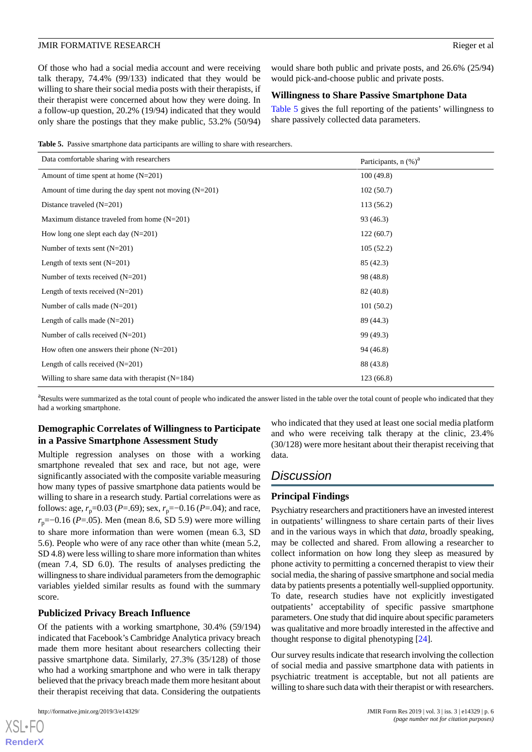Of those who had a social media account and were receiving talk therapy, 74.4% (99/133) indicated that they would be willing to share their social media posts with their therapists, if their therapist were concerned about how they were doing. In a follow-up question, 20.2% (19/94) indicated that they would only share the postings that they make public, 53.2% (50/94) would share both public and private posts, and 26.6% (25/94) would pick-and-choose public and private posts.

#### **Willingness to Share Passive Smartphone Data**

[Table 5](#page-5-0) gives the full reporting of the patients' willingness to share passively collected data parameters.

<span id="page-5-0"></span>**Table 5.** Passive smartphone data participants are willing to share with researchers.

| Data comfortable sharing with researchers                | Participants, $n$ (%) <sup>a</sup> |
|----------------------------------------------------------|------------------------------------|
| Amount of time spent at home $(N=201)$                   | 100(49.8)                          |
| Amount of time during the day spent not moving $(N=201)$ | 102(50.7)                          |
| Distance traveled $(N=201)$                              | 113(56.2)                          |
| Maximum distance traveled from home $(N=201)$            | 93 (46.3)                          |
| How long one slept each day $(N=201)$                    | 122(60.7)                          |
| Number of texts sent $(N=201)$                           | 105(52.2)                          |
| Length of texts sent $(N=201)$                           | 85(42.3)                           |
| Number of texts received $(N=201)$                       | 98 (48.8)                          |
| Length of texts received $(N=201)$                       | 82 (40.8)                          |
| Number of calls made $(N=201)$                           | 101(50.2)                          |
| Length of calls made $(N=201)$                           | 89 (44.3)                          |
| Number of calls received $(N=201)$                       | 99 (49.3)                          |
| How often one answers their phone $(N=201)$              | 94 (46.8)                          |
| Length of calls received $(N=201)$                       | 88 (43.8)                          |
| Willing to share same data with the rapist $(N=184)$     | 123(66.8)                          |

<sup>a</sup>Results were summarized as the total count of people who indicated the answer listed in the table over the total count of people who indicated that they had a working smartphone.

# **Demographic Correlates of Willingness to Participate in a Passive Smartphone Assessment Study**

Multiple regression analyses on those with a working smartphone revealed that sex and race, but not age, were significantly associated with the composite variable measuring how many types of passive smartphone data patients would be willing to share in a research study. Partial correlations were as follows: age,  $r_p$ =0.03 (*P*=.69); sex,  $r_p$ =-0.16 (*P*=.04); and race, *r*<sub>p</sub>=−0.16 (*P*=.05). Men (mean 8.6, SD 5.9) were more willing to share more information than were women (mean 6.3, SD 5.6). People who were of any race other than white (mean 5.2, SD 4.8) were less willing to share more information than whites (mean 7.4, SD 6.0). The results of analyses predicting the willingness to share individual parameters from the demographic variables yielded similar results as found with the summary score.

#### **Publicized Privacy Breach Influence**

Of the patients with a working smartphone, 30.4% (59/194) indicated that Facebook's Cambridge Analytica privacy breach made them more hesitant about researchers collecting their passive smartphone data. Similarly, 27.3% (35/128) of those who had a working smartphone and who were in talk therapy believed that the privacy breach made them more hesitant about their therapist receiving that data. Considering the outpatients

who indicated that they used at least one social media platform and who were receiving talk therapy at the clinic, 23.4% (30/128) were more hesitant about their therapist receiving that data.

# *Discussion*

#### **Principal Findings**

Psychiatry researchers and practitioners have an invested interest in outpatients' willingness to share certain parts of their lives and in the various ways in which that *data*, broadly speaking, may be collected and shared. From allowing a researcher to collect information on how long they sleep as measured by phone activity to permitting a concerned therapist to view their social media, the sharing of passive smartphone and social media data by patients presents a potentially well-supplied opportunity. To date, research studies have not explicitly investigated outpatients' acceptability of specific passive smartphone parameters. One study that did inquire about specific parameters was qualitative and more broadly interested in the affective and thought response to digital phenotyping [\[24](#page-8-9)].

Our survey results indicate that research involving the collection of social media and passive smartphone data with patients in psychiatric treatment is acceptable, but not all patients are willing to share such data with their therapist or with researchers.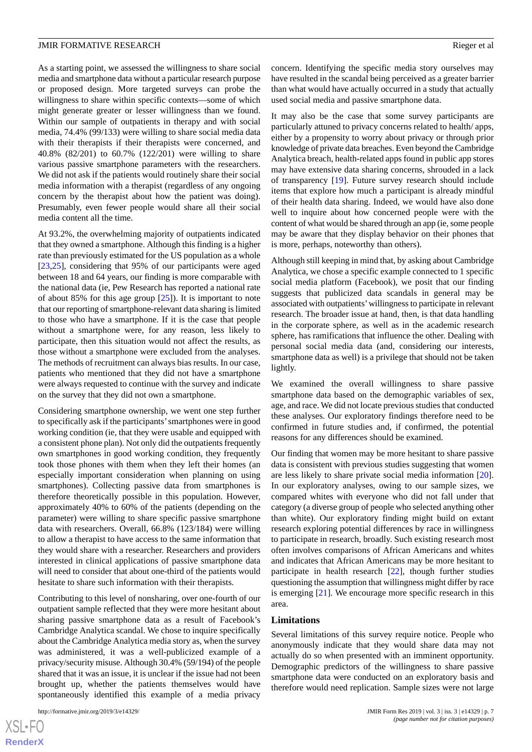As a starting point, we assessed the willingness to share social media and smartphone data without a particular research purpose or proposed design. More targeted surveys can probe the willingness to share within specific contexts—some of which might generate greater or lesser willingness than we found. Within our sample of outpatients in therapy and with social media, 74.4% (99/133) were willing to share social media data with their therapists if their therapists were concerned, and 40.8% (82/201) to 60.7% (122/201) were willing to share various passive smartphone parameters with the researchers. We did not ask if the patients would routinely share their social media information with a therapist (regardless of any ongoing concern by the therapist about how the patient was doing). Presumably, even fewer people would share all their social media content all the time.

At 93.2%, the overwhelming majority of outpatients indicated that they owned a smartphone. Although this finding is a higher rate than previously estimated for the US population as a whole [[23](#page-8-8)[,25](#page-8-10)], considering that 95% of our participants were aged between 18 and 64 years, our finding is more comparable with the national data (ie, Pew Research has reported a national rate of about 85% for this age group  $[25]$  $[25]$ ). It is important to note that our reporting of smartphone-relevant data sharing is limited to those who have a smartphone. If it is the case that people without a smartphone were, for any reason, less likely to participate, then this situation would not affect the results, as those without a smartphone were excluded from the analyses. The methods of recruitment can always bias results. In our case, patients who mentioned that they did not have a smartphone were always requested to continue with the survey and indicate on the survey that they did not own a smartphone.

Considering smartphone ownership, we went one step further to specifically ask if the participants'smartphones were in good working condition (ie, that they were usable and equipped with a consistent phone plan). Not only did the outpatients frequently own smartphones in good working condition, they frequently took those phones with them when they left their homes (an especially important consideration when planning on using smartphones). Collecting passive data from smartphones is therefore theoretically possible in this population. However, approximately 40% to 60% of the patients (depending on the parameter) were willing to share specific passive smartphone data with researchers. Overall, 66.8% (123/184) were willing to allow a therapist to have access to the same information that they would share with a researcher. Researchers and providers interested in clinical applications of passive smartphone data will need to consider that about one-third of the patients would hesitate to share such information with their therapists.

Contributing to this level of nonsharing, over one-fourth of our outpatient sample reflected that they were more hesitant about sharing passive smartphone data as a result of Facebook's Cambridge Analytica scandal. We chose to inquire specifically about the Cambridge Analytica media story as, when the survey was administered, it was a well-publicized example of a privacy/security misuse. Although 30.4% (59/194) of the people shared that it was an issue, it is unclear if the issue had not been brought up, whether the patients themselves would have spontaneously identified this example of a media privacy

concern. Identifying the specific media story ourselves may have resulted in the scandal being perceived as a greater barrier than what would have actually occurred in a study that actually used social media and passive smartphone data.

It may also be the case that some survey participants are particularly attuned to privacy concerns related to health/ apps, either by a propensity to worry about privacy or through prior knowledge of private data breaches. Even beyond the Cambridge Analytica breach, health-related apps found in public app stores may have extensive data sharing concerns, shrouded in a lack of transparency [\[19](#page-8-4)]. Future survey research should include items that explore how much a participant is already mindful of their health data sharing. Indeed, we would have also done well to inquire about how concerned people were with the content of what would be shared through an app (ie, some people may be aware that they display behavior on their phones that is more, perhaps, noteworthy than others).

Although still keeping in mind that, by asking about Cambridge Analytica, we chose a specific example connected to 1 specific social media platform (Facebook), we posit that our finding suggests that publicized data scandals in general may be associated with outpatients'willingness to participate in relevant research. The broader issue at hand, then, is that data handling in the corporate sphere, as well as in the academic research sphere, has ramifications that influence the other. Dealing with personal social media data (and, considering our interests, smartphone data as well) is a privilege that should not be taken lightly.

We examined the overall willingness to share passive smartphone data based on the demographic variables of sex, age, and race. We did not locate previous studies that conducted these analyses. Our exploratory findings therefore need to be confirmed in future studies and, if confirmed, the potential reasons for any differences should be examined.

Our finding that women may be more hesitant to share passive data is consistent with previous studies suggesting that women are less likely to share private social media information [[20\]](#page-8-5). In our exploratory analyses, owing to our sample sizes, we compared whites with everyone who did not fall under that category (a diverse group of people who selected anything other than white). Our exploratory finding might build on extant research exploring potential differences by race in willingness to participate in research, broadly. Such existing research most often involves comparisons of African Americans and whites and indicates that African Americans may be more hesitant to participate in health research [\[22](#page-8-7)], though further studies questioning the assumption that willingness might differ by race is emerging [[21\]](#page-8-6). We encourage more specific research in this area.

#### **Limitations**

Several limitations of this survey require notice. People who anonymously indicate that they would share data may not actually do so when presented with an imminent opportunity. Demographic predictors of the willingness to share passive smartphone data were conducted on an exploratory basis and therefore would need replication. Sample sizes were not large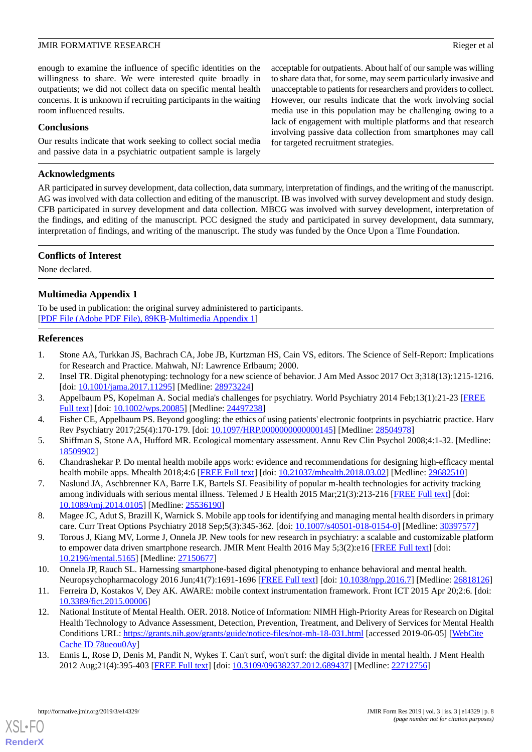acceptable for outpatients. About half of our sample was willing to share data that, for some, may seem particularly invasive and unacceptable to patients for researchers and providers to collect. However, our results indicate that the work involving social media use in this population may be challenging owing to a lack of engagement with multiple platforms and that research involving passive data collection from smartphones may call

for targeted recruitment strategies.

enough to examine the influence of specific identities on the willingness to share. We were interested quite broadly in outpatients; we did not collect data on specific mental health concerns. It is unknown if recruiting participants in the waiting room influenced results.

#### **Conclusions**

Our results indicate that work seeking to collect social media and passive data in a psychiatric outpatient sample is largely

#### **Acknowledgments**

AR participated in survey development, data collection, data summary, interpretation of findings, and the writing of the manuscript. AG was involved with data collection and editing of the manuscript. IB was involved with survey development and study design. CFB participated in survey development and data collection. MBCG was involved with survey development, interpretation of the findings, and editing of the manuscript. PCC designed the study and participated in survey development, data summary, interpretation of findings, and writing of the manuscript. The study was funded by the Once Upon a Time Foundation.

# **Conflicts of Interest**

None declared.

# **Multimedia Appendix 1**

<span id="page-7-0"></span>To be used in publication: the original survey administered to participants. [[PDF File \(Adobe PDF File\), 89KB-Multimedia Appendix 1](https://jmir.org/api/download?alt_name=formative_v3i3e14329_app1.pdf&filename=5a205f333e61a57e016548ffd0d4647e.pdf)]

#### <span id="page-7-1"></span>**References**

- <span id="page-7-2"></span>1. Stone AA, Turkkan JS, Bachrach CA, Jobe JB, Kurtzman HS, Cain VS, editors. The Science of Self-Report: Implications for Research and Practice. Mahwah, NJ: Lawrence Erlbaum; 2000.
- <span id="page-7-3"></span>2. Insel TR. Digital phenotyping: technology for a new science of behavior. J Am Med Assoc 2017 Oct 3;318(13):1215-1216. [doi: [10.1001/jama.2017.11295\]](http://dx.doi.org/10.1001/jama.2017.11295) [Medline: [28973224](http://www.ncbi.nlm.nih.gov/entrez/query.fcgi?cmd=Retrieve&db=PubMed&list_uids=28973224&dopt=Abstract)]
- <span id="page-7-4"></span>3. Appelbaum PS, Kopelman A. Social media's challenges for psychiatry. World Psychiatry 2014 Feb;13(1):21-23 [[FREE](https://doi.org/10.1002/wps.20085) [Full text\]](https://doi.org/10.1002/wps.20085) [doi: [10.1002/wps.20085](http://dx.doi.org/10.1002/wps.20085)] [Medline: [24497238\]](http://www.ncbi.nlm.nih.gov/entrez/query.fcgi?cmd=Retrieve&db=PubMed&list_uids=24497238&dopt=Abstract)
- <span id="page-7-5"></span>4. Fisher CE, Appelbaum PS. Beyond googling: the ethics of using patients' electronic footprints in psychiatric practice. Harv Rev Psychiatry 2017;25(4):170-179. [doi: [10.1097/HRP.0000000000000145\]](http://dx.doi.org/10.1097/HRP.0000000000000145) [Medline: [28504978](http://www.ncbi.nlm.nih.gov/entrez/query.fcgi?cmd=Retrieve&db=PubMed&list_uids=28504978&dopt=Abstract)]
- <span id="page-7-6"></span>5. Shiffman S, Stone AA, Hufford MR. Ecological momentary assessment. Annu Rev Clin Psychol 2008;4:1-32. [Medline: [18509902](http://www.ncbi.nlm.nih.gov/entrez/query.fcgi?cmd=Retrieve&db=PubMed&list_uids=18509902&dopt=Abstract)]
- <span id="page-7-7"></span>6. Chandrashekar P. Do mental health mobile apps work: evidence and recommendations for designing high-efficacy mental health mobile apps. Mhealth 2018;4:6 [\[FREE Full text\]](https://doi.org/10.21037/mhealth.2018.03.02) [doi: [10.21037/mhealth.2018.03.02\]](http://dx.doi.org/10.21037/mhealth.2018.03.02) [Medline: [29682510\]](http://www.ncbi.nlm.nih.gov/entrez/query.fcgi?cmd=Retrieve&db=PubMed&list_uids=29682510&dopt=Abstract)
- <span id="page-7-8"></span>7. Naslund JA, Aschbrenner KA, Barre LK, Bartels SJ. Feasibility of popular m-health technologies for activity tracking among individuals with serious mental illness. Telemed J E Health 2015 Mar:21(3):213-216 [[FREE Full text](http://europepmc.org/abstract/MED/25536190)] [doi: [10.1089/tmj.2014.0105](http://dx.doi.org/10.1089/tmj.2014.0105)] [Medline: [25536190\]](http://www.ncbi.nlm.nih.gov/entrez/query.fcgi?cmd=Retrieve&db=PubMed&list_uids=25536190&dopt=Abstract)
- <span id="page-7-9"></span>8. Magee JC, Adut S, Brazill K, Warnick S. Mobile app tools for identifying and managing mental health disorders in primary care. Curr Treat Options Psychiatry 2018 Sep;5(3):345-362. [doi: [10.1007/s40501-018-0154-0\]](http://dx.doi.org/10.1007/s40501-018-0154-0) [Medline: [30397577](http://www.ncbi.nlm.nih.gov/entrez/query.fcgi?cmd=Retrieve&db=PubMed&list_uids=30397577&dopt=Abstract)]
- <span id="page-7-11"></span><span id="page-7-10"></span>9. Torous J, Kiang MV, Lorme J, Onnela JP. New tools for new research in psychiatry: a scalable and customizable platform to empower data driven smartphone research. JMIR Ment Health 2016 May 5;3(2):e16 [\[FREE Full text\]](https://mental.jmir.org/2016/2/e16/) [doi: [10.2196/mental.5165\]](http://dx.doi.org/10.2196/mental.5165) [Medline: [27150677](http://www.ncbi.nlm.nih.gov/entrez/query.fcgi?cmd=Retrieve&db=PubMed&list_uids=27150677&dopt=Abstract)]
- 10. Onnela JP, Rauch SL. Harnessing smartphone-based digital phenotyping to enhance behavioral and mental health. Neuropsychopharmacology 2016 Jun;41(7):1691-1696 [\[FREE Full text\]](http://dx.doi.org/10.1038/npp.2016.7) [doi: [10.1038/npp.2016.7](http://dx.doi.org/10.1038/npp.2016.7)] [Medline: [26818126](http://www.ncbi.nlm.nih.gov/entrez/query.fcgi?cmd=Retrieve&db=PubMed&list_uids=26818126&dopt=Abstract)]
- <span id="page-7-12"></span>11. Ferreira D, Kostakos V, Dey AK. AWARE: mobile context instrumentation framework. Front ICT 2015 Apr 20;2:6. [doi: [10.3389/fict.2015.00006\]](http://dx.doi.org/10.3389/fict.2015.00006)
- 12. National Institute of Mental Health. OER. 2018. Notice of Information: NIMH High-Priority Areas for Research on Digital Health Technology to Advance Assessment, Detection, Prevention, Treatment, and Delivery of Services for Mental Health Conditions URL:<https://grants.nih.gov/grants/guide/notice-files/not-mh-18-031.html> [accessed 2019-06-05] [\[WebCite](http://www.webcitation.org/

                                            78ueou0Ay) [Cache ID 78ueou0Ay\]](http://www.webcitation.org/

                                            78ueou0Ay)
- 13. Ennis L, Rose D, Denis M, Pandit N, Wykes T. Can't surf, won't surf: the digital divide in mental health. J Ment Health 2012 Aug;21(4):395-403 [[FREE Full text](http://europepmc.org/abstract/MED/22712756)] [doi: [10.3109/09638237.2012.689437](http://dx.doi.org/10.3109/09638237.2012.689437)] [Medline: [22712756](http://www.ncbi.nlm.nih.gov/entrez/query.fcgi?cmd=Retrieve&db=PubMed&list_uids=22712756&dopt=Abstract)]